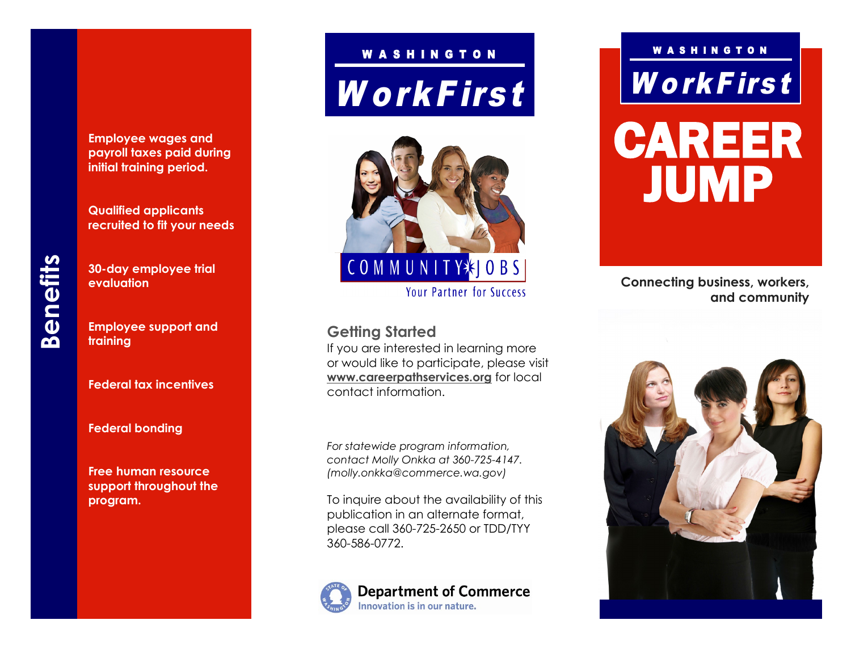**Employee wages and payroll taxes paid during initial training period.**

**Qualified applicants recruited to fit your needs**

**Benefits**

**evaluation**

**Employee support and training**

**30 -day employee trial** 

**Federal tax incentives**

**Federal bonding**

**Free human resource support throughout the program.**

# **WorkFirst** WASHINGTON



**Your Partner for Success** 

**Getting Started** 

If you are interested in learning more or would like to participate, please visit **www.careerpathservices.org** for local contact information.

*For statewide program information, contact Molly Onkka at 360 -725 -4147. (molly.onkka@commerce.wa.gov)*

To inquire about the availability of this publication in an alternate format, please call 360 -725 -2650 or TDD/TYY 360 -586 -0772.



## WorkFirst WASHINGTON CAREER

JUMP

**Connecting business, workers, and community**